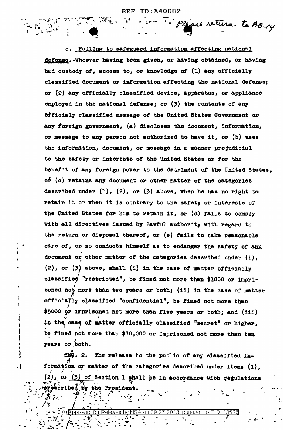Please return to AB-14

c. Failing to safeguard information affecting national defense.-Whoever having been given, or having obtained, or having had custody of, access to, or knowledge of (1) any officially classified document or information affecting the national defense; or (2) any officially classified device, apparatus, or appliance employed in the national defense; or  $(3)$  the contents of any officialy classified message of the United States Government or any foreign government, (a) discloses the document, information, or message to any person not authorized to have it, or (b) uses the information, document, or message in a manner prejudicial to the safety or interests of the United States or for the benefit of any foreign power to the detriment of the United States, or (c) retains any document or other matter of the categories described under  $(1)$ ,  $(2)$ , or  $(3)$  above, when he has no right to retain it or when it is contrary to the safety or interests of the United States for him to retain it, or (d) fails to comply with all directives issued by lawful authority with regard to the return or disposal thereof, or (e) fails to take reasonable care of, or so conducts himself as to endanger the safety of any document or other matter of the categories described under (1),  $(2)$ , or  $(3)$  above, shall  $(1)$  in the case of matter officially classified "restricted", be fined not more than \$1000 or imprisoned not more than two years or both; (11) in the case of matter officially classified "confidential", be fined not more than \$5000 or imprisoned not more than five years or both; and (111) in the case of matter officially classified "secret" or higher, be fined not more than \$10,000 or imprisoned not more than ten years or both.

SEC. 2. The release to the public of any classified information or matter of the categories described under items (1),  $(2)$ , or  $(3)$  of Section 1 shall be in accordance with regulations prescribed by the President

on  $09-27-2013$ d for Release by NSA Annrow∉≸≮

 $\cdot$  1

5. . . .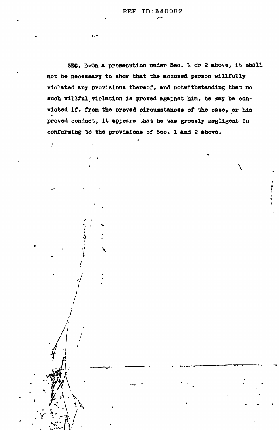SEQ. 3-On a prosecution under Sec. 1 or 2 above, it shall not be necessary to show that the accused person willfully violated any provisions thereof, and notwithstanding that no such willful violation is proved against him, he may be convicted if, from the proved circumstances of the case, or his proved conduct, it appears that he was grossly negligent in conforming to the provisions of Sec. 1 and 2 above.

 $\mathcal{I}$